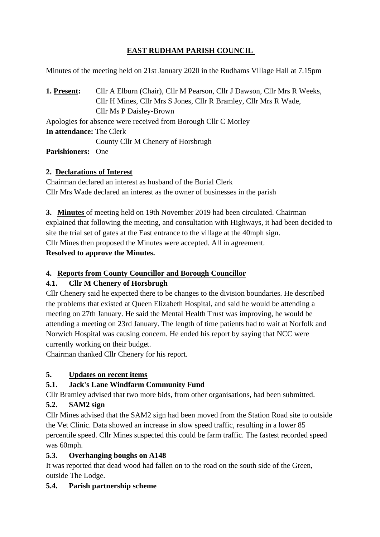# **EAST RUDHAM PARISH COUNCIL**

Minutes of the meeting held on 21st January 2020 in the Rudhams Village Hall at 7.15pm

**1. Present:** Cllr A Elburn (Chair), Cllr M Pearson, Cllr J Dawson, Cllr Mrs R Weeks, Cllr H Mines, Cllr Mrs S Jones, Cllr R Bramley, Cllr Mrs R Wade, Cllr Ms P Daisley-Brown Apologies for absence were received from Borough Cllr C Morley **In attendance:** The Clerk County Cllr M Chenery of Horsbrugh

**Parishioners:** One

#### **2. Declarations of Interest**

Chairman declared an interest as husband of the Burial Clerk Cllr Mrs Wade declared an interest as the owner of businesses in the parish

**3. Minutes** of meeting held on 19th November 2019 had been circulated. Chairman explained that following the meeting, and consultation with Highways, it had been decided to site the trial set of gates at the East entrance to the village at the 40mph sign. Cllr Mines then proposed the Minutes were accepted. All in agreement. **Resolved to approve the Minutes.** 

# **4. Reports from County Councillor and Borough Councillor**

# **4.1. Cllr M Chenery of Horsbrugh**

Cllr Chenery said he expected there to be changes to the division boundaries. He described the problems that existed at Queen Elizabeth Hospital, and said he would be attending a meeting on 27th January. He said the Mental Health Trust was improving, he would be attending a meeting on 23rd January. The length of time patients had to wait at Norfolk and Norwich Hospital was causing concern. He ended his report by saying that NCC were currently working on their budget.

Chairman thanked Cllr Chenery for his report.

# **5. Updates on recent items**

# **5.1. Jack's Lane Windfarm Community Fund**

Cllr Bramley advised that two more bids, from other organisations, had been submitted.

# **5.2. SAM2 sign**

Cllr Mines advised that the SAM2 sign had been moved from the Station Road site to outside the Vet Clinic. Data showed an increase in slow speed traffic, resulting in a lower 85 percentile speed. Cllr Mines suspected this could be farm traffic. The fastest recorded speed was 60mph.

# **5.3. Overhanging boughs on A148**

It was reported that dead wood had fallen on to the road on the south side of the Green, outside The Lodge.

# **5.4. Parish partnership scheme**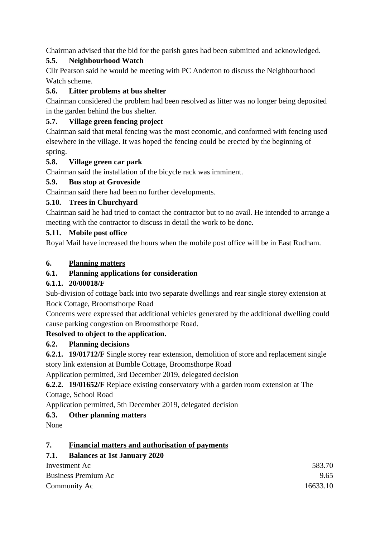Chairman advised that the bid for the parish gates had been submitted and acknowledged.

# **5.5. Neighbourhood Watch**

Cllr Pearson said he would be meeting with PC Anderton to discuss the Neighbourhood Watch scheme.

# **5.6. Litter problems at bus shelter**

Chairman considered the problem had been resolved as litter was no longer being deposited in the garden behind the bus shelter.

# **5.7. Village green fencing project**

Chairman said that metal fencing was the most economic, and conformed with fencing used elsewhere in the village. It was hoped the fencing could be erected by the beginning of spring.

# **5.8. Village green car park**

Chairman said the installation of the bicycle rack was imminent.

# **5.9. Bus stop at Groveside**

Chairman said there had been no further developments.

# **5.10. Trees in Churchyard**

Chairman said he had tried to contact the contractor but to no avail. He intended to arrange a meeting with the contractor to discuss in detail the work to be done.

# **5.11. Mobile post office**

Royal Mail have increased the hours when the mobile post office will be in East Rudham.

# **6. Planning matters**

# **6.1. Planning applications for consideration**

# **6.1.1. 20/00018/F**

Sub-division of cottage back into two separate dwellings and rear single storey extension at Rock Cottage, Broomsthorpe Road

Concerns were expressed that additional vehicles generated by the additional dwelling could cause parking congestion on Broomsthorpe Road.

# **Resolved to object to the application.**

# **6.2. Planning decisions**

**6.2.1. 19/01712/F** Single storey rear extension, demolition of store and replacement single story link extension at Bumble Cottage, Broomsthorpe Road

Application permitted, 3rd December 2019, delegated decision

**6.2.2. 19/01652/F** Replace existing conservatory with a garden room extension at The Cottage, School Road

Application permitted, 5th December 2019, delegated decision

# **6.3. Other planning matters**

None

# **7. Financial matters and authorisation of payments**

# **7.1. Balances at 1st January 2020**

| Investment Ac       | 583.70   |
|---------------------|----------|
| Business Premium Ac | 9.65     |
| Community Ac        | 16633.10 |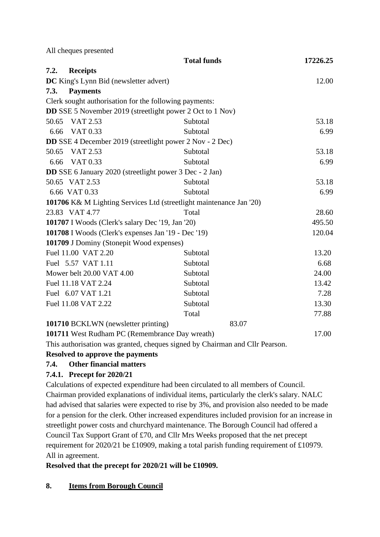|                                                         | All cheques presented                                            |                                                                     |          |
|---------------------------------------------------------|------------------------------------------------------------------|---------------------------------------------------------------------|----------|
|                                                         |                                                                  | <b>Total funds</b>                                                  | 17226.25 |
| 7.2.                                                    | <b>Receipts</b>                                                  |                                                                     |          |
|                                                         | DC King's Lynn Bid (newsletter advert)                           |                                                                     | 12.00    |
| 7.3.                                                    | <b>Payments</b>                                                  |                                                                     |          |
|                                                         | Clerk sought authorisation for the following payments:           |                                                                     |          |
|                                                         | <b>DD</b> SSE 5 November 2019 (streetlight power 2 Oct to 1 Nov) |                                                                     |          |
| 50.65                                                   | VAT 2.53                                                         | Subtotal                                                            | 53.18    |
| 6.66                                                    | VAT 0.33                                                         | Subtotal                                                            | 6.99     |
|                                                         | <b>DD</b> SSE 4 December 2019 (streetlight power 2 Nov - 2 Dec)  |                                                                     |          |
| 50.65                                                   | VAT 2.53                                                         | Subtotal                                                            | 53.18    |
| 6.66                                                    | VAT 0.33                                                         | Subtotal                                                            | 6.99     |
|                                                         | <b>DD</b> SSE 6 January 2020 (streetlight power 3 Dec - 2 Jan)   |                                                                     |          |
|                                                         | 50.65 VAT 2.53                                                   | Subtotal                                                            | 53.18    |
|                                                         | 6.66 VAT 0.33                                                    | Subtotal                                                            | 6.99     |
|                                                         |                                                                  | 101706 K& M Lighting Services Ltd (streetlight maintenance Jan '20) |          |
|                                                         | 23.83 VAT 4.77                                                   | Total                                                               | 28.60    |
| <b>101707</b> I Woods (Clerk's salary Dec '19, Jan '20) |                                                                  | 495.50                                                              |          |
| 101708 I Woods (Clerk's expenses Jan '19 - Dec '19)     |                                                                  | 120.04                                                              |          |
|                                                         | 101709 J Dominy (Stonepit Wood expenses)                         |                                                                     |          |
|                                                         | Fuel 11.00 VAT 2.20                                              | Subtotal                                                            | 13.20    |
|                                                         | Fuel 5.57 VAT 1.11                                               | Subtotal                                                            | 6.68     |
|                                                         | Mower belt 20.00 VAT 4.00                                        | Subtotal                                                            | 24.00    |
|                                                         | Fuel 11.18 VAT 2.24                                              | Subtotal                                                            | 13.42    |
|                                                         | Fuel 6.07 VAT 1.21                                               | Subtotal                                                            | 7.28     |
|                                                         | Fuel 11.08 VAT 2.22                                              | Subtotal                                                            | 13.30    |
|                                                         |                                                                  | Total                                                               | 77.88    |
|                                                         | 101710 BCKLWN (newsletter printing)                              | 83.07                                                               |          |

**101711** West Rudham PC (Remembrance Day wreath) 17.00

This authorisation was granted, cheques signed by Chairman and Cllr Pearson.

# **Resolved to approve the payments**

#### **7.4. Other financial matters**

# **7.4.1. Precept for 2020/21**

Calculations of expected expenditure had been circulated to all members of Council. Chairman provided explanations of individual items, particularly the clerk's salary. NALC had advised that salaries were expected to rise by 3%, and provision also needed to be made for a pension for the clerk. Other increased expenditures included provision for an increase in streetlight power costs and churchyard maintenance. The Borough Council had offered a Council Tax Support Grant of £70, and Cllr Mrs Weeks proposed that the net precept requirement for 2020/21 be £10909, making a total parish funding requirement of £10979. All in agreement.

**Resolved that the precept for 2020/21 will be £10909.**

# **8. Items from Borough Council**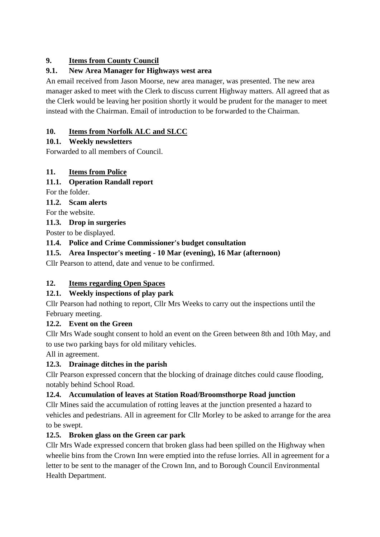#### **9. Items from County Council**

### **9.1. New Area Manager for Highways west area**

An email received from Jason Moorse, new area manager, was presented. The new area manager asked to meet with the Clerk to discuss current Highway matters. All agreed that as the Clerk would be leaving her position shortly it would be prudent for the manager to meet instead with the Chairman. Email of introduction to be forwarded to the Chairman.

#### **10. Items from Norfolk ALC and SLCC**

#### **10.1. Weekly newsletters**

Forwarded to all members of Council.

#### **11. Items from Police**

#### **11.1. Operation Randall report**

For the folder.

**11.2. Scam alerts**

For the website.

**11.3. Drop in surgeries**

Poster to be displayed.

#### **11.4. Police and Crime Commissioner's budget consultation**

#### **11.5. Area Inspector's meeting - 10 Mar (evening), 16 Mar (afternoon)**

Cllr Pearson to attend, date and venue to be confirmed.

# **12. Items regarding Open Spaces**

# **12.1. Weekly inspections of play park**

Cllr Pearson had nothing to report, Cllr Mrs Weeks to carry out the inspections until the February meeting.

#### **12.2. Event on the Green**

Cllr Mrs Wade sought consent to hold an event on the Green between 8th and 10th May, and to use two parking bays for old military vehicles.

All in agreement.

# **12.3. Drainage ditches in the parish**

Cllr Pearson expressed concern that the blocking of drainage ditches could cause flooding, notably behind School Road.

#### **12.4. Accumulation of leaves at Station Road/Broomsthorpe Road junction**

Cllr Mines said the accumulation of rotting leaves at the junction presented a hazard to vehicles and pedestrians. All in agreement for Cllr Morley to be asked to arrange for the area to be swept.

# **12.5. Broken glass on the Green car park**

Cllr Mrs Wade expressed concern that broken glass had been spilled on the Highway when wheelie bins from the Crown Inn were emptied into the refuse lorries. All in agreement for a letter to be sent to the manager of the Crown Inn, and to Borough Council Environmental Health Department.